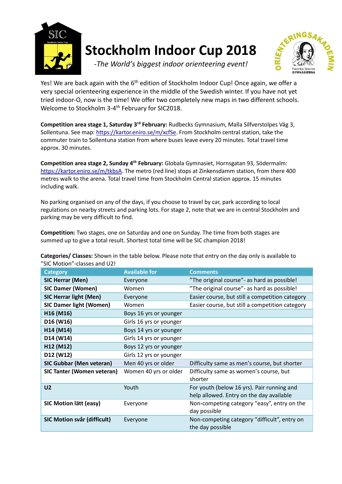

## **Stockholm Indoor Cup 2018**

*-The World's biggest indoor orienteering event!*

Yes! We are back again with the 6<sup>th</sup> edition of Stockholm Indoor Cup! Once again, we offer a very special orienteering experience in the middle of the Swedish winter. If you have not yet tried indoor-O, now is the time! We offer two completely new maps in two different schools. Welcome to Stockholm 3-4<sup>th</sup> February for SIC2018.

**Competition area stage 1, Saturday 3rd February:** Rudbecks Gymnasium, Malla Silfverstolpes Väg 3, Sollentuna. See map: [https://kartor.eniro.se/m/xcfSe.](https://kartor.eniro.se/m/xcfSe) From Stockholm central station, take the commuter train to Sollentuna station from where buses leave every 20 minutes. Total travel time approx. 30 minutes.

**Competition area stage 2, Sunday 4th February:** Globala Gymnasiet, Hornsgatan 93, Södermalm: [https://kartor.eniro.se/m/tkbsA.](https://kartor.eniro.se/m/tkbsA) The metro (red line) stops at Zinkensdamm station, from there 400 metres walk to the arena. Total travel time from Stockholm Central station approx. 15 minutes including walk.

No parking organised on any of the days, if you choose to travel by car, park according to local regulations on nearby streets and parking lots. For stage 2, note that we are in central Stockholm and parking may be very difficult to find.

**Competition:** Two stages, one on Saturday and one on Sunday. The time from both stages are summed up to give a total result. Shortest total time will be SIC champion 2018!

**Categories/ Classes:** Shown in the table below. Please note that entry on the day only is available to "SIC Motion"-classes and U2!

| <b>Category</b>                    | <b>Available for</b>    | <b>Comments</b>                                                                        |
|------------------------------------|-------------------------|----------------------------------------------------------------------------------------|
| <b>SIC Herrar (Men)</b>            | Everyone                | "The original course" - as hard as possible!                                           |
| <b>SIC Damer (Women)</b>           | Women                   | "The original course" - as hard as possible!                                           |
| <b>SIC Herrar light (Men)</b>      | Everyone                | Easier course, but still a competition category                                        |
| <b>SIC Damer light (Women)</b>     | Women                   | Easier course, but still a competition category                                        |
| H16 (M16)                          | Boys 16 yrs or younger  |                                                                                        |
| D16 (W16)                          | Girls 16 yrs or younger |                                                                                        |
| H14 (M14)                          | Boys 14 yrs or younger  |                                                                                        |
| D14 (W14)                          | Girls 14 yrs or younger |                                                                                        |
| H12 (M12)                          | Boys 12 yrs or younger  |                                                                                        |
| D12 (W12)                          | Girls 12 yrs or younger |                                                                                        |
| <b>SIC Gubbar (Men veteran)</b>    | Men 40 yrs or older     | Difficulty same as men's course, but shorter                                           |
| <b>SIC Tanter (Women veteran)</b>  | Women 40 yrs or older   | Difficulty same as women's course, but<br>shorter                                      |
| U <sub>2</sub>                     | Youth                   | For youth (below 16 yrs). Pair running and<br>help allowed. Entry on the day available |
| SIC Motion lätt (easy)             | Everyone                | Non-competing category "easy", entry on the<br>day possible                            |
| <b>SIC Motion svår (difficult)</b> | Everyone                | Non-competing category "difficult", entry on<br>the day possible                       |